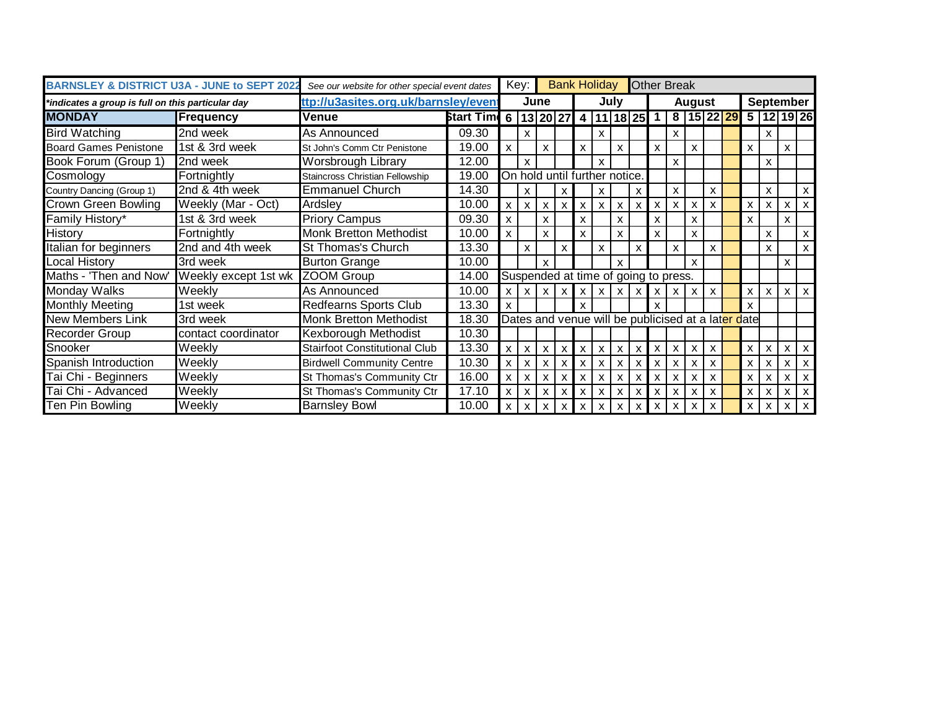| <b>BARNSLEY &amp; DISTRICT U3A - JUNE to SEPT 2022</b> |                      | See our website for other special event dates |                            |              | Key:         |      |                           | <b>Bank Holiday</b>             |   |                                                    |   |                           | <b>Other Break</b> |              |                           |                                     |   |              |                  |                           |
|--------------------------------------------------------|----------------------|-----------------------------------------------|----------------------------|--------------|--------------|------|---------------------------|---------------------------------|---|----------------------------------------------------|---|---------------------------|--------------------|--------------|---------------------------|-------------------------------------|---|--------------|------------------|---------------------------|
| *indicates a group is full on this particular day      |                      | ttp://u3asites.org.uk/barnsley/event          |                            |              |              | June |                           |                                 |   | July                                               |   |                           |                    | August       |                           |                                     |   |              | <b>September</b> |                           |
| <b>MONDAY</b>                                          | Frequency            | <b>Venue</b>                                  | Start Tim 6   13   20   27 |              |              |      |                           | 4 <sup>1</sup>                  |   | $11$ 18 25                                         |   | $\overline{\mathbf{1}}$   |                    |              |                           | 8   15   22   29   5   12   19   26 |   |              |                  |                           |
| <b>Bird Watching</b>                                   | 2nd week             | As Announced                                  | 09.30                      |              | x            |      |                           |                                 | X |                                                    |   |                           | X                  |              |                           |                                     |   | X            |                  |                           |
| <b>Board Games Penistone</b>                           | 1st & 3rd week       | St John's Comm Ctr Penistone                  | 19.00                      | X            |              | X    |                           | $\mathsf{x}$                    |   | X                                                  |   | X                         |                    | X            |                           |                                     | X |              | X                |                           |
| Book Forum (Group 1)                                   | 2nd week             | Worsbrough Library                            | 12.00                      |              | X            |      |                           |                                 | X |                                                    |   |                           | X                  |              |                           |                                     |   | X            |                  |                           |
| Cosmology                                              | Fortnightly          | Staincross Christian Fellowship               | 19.00                      |              |              |      |                           |                                 |   | On hold until further notice.                      |   |                           |                    |              |                           |                                     |   |              |                  |                           |
| Country Dancing (Group 1)                              | 2nd & 4th week       | <b>Emmanuel Church</b>                        | 14.30                      |              | X            |      | x                         |                                 | x |                                                    | X |                           | X                  |              | x                         |                                     |   | X            |                  | $\mathsf{x}$              |
| <b>Crown Green Bowling</b>                             | Weekly (Mar - Oct)   | Ardsley                                       | 10.00                      | $\mathsf{x}$ | $\mathsf{x}$ | X    | X                         | $\mathsf{x}$                    | X | $\mathbf{x}$                                       | X | $\boldsymbol{\mathsf{x}}$ | X                  | X            | X                         |                                     | X | х            | X                | $\mathsf{x}$              |
| Family History*                                        | 1st & 3rd week       | <b>Priory Campus</b>                          | 09.30                      | X.           |              | X    |                           | X                               |   | X                                                  |   | X                         |                    | X            |                           |                                     | X |              | X                |                           |
| History                                                | Fortnightly          | <b>Monk Bretton Methodist</b>                 | 10.00                      | <b>X</b>     |              | X    |                           | $\mathsf{x}$                    |   | X                                                  |   | X                         |                    | X            |                           |                                     |   | X            |                  | $\mathsf{x}$              |
| <b>Italian for beginners</b>                           | 2nd and 4th week     | <b>St Thomas's Church</b>                     | 13.30                      |              | $\mathsf{x}$ |      | X                         |                                 | X |                                                    | X |                           | X                  |              | X                         |                                     |   | $\mathsf{x}$ |                  | $\mathsf{x}$              |
| <b>Local History</b>                                   | 3rd week             | <b>Burton Grange</b>                          | 10.00                      |              |              | X    |                           |                                 |   | X                                                  |   |                           |                    | X            |                           |                                     |   |              | X                |                           |
| Maths - 'Then and Now'                                 | Weekly except 1st wk | ZOOM Group                                    | 14.00                      |              |              |      |                           |                                 |   | Suspended at time of going to press.               |   |                           |                    |              |                           |                                     |   |              |                  |                           |
| Monday Walks                                           | Weekly               | As Announced                                  | 10.00                      |              |              |      |                           | $x \mid x \mid x \mid x \mid x$ |   | $X$ $X$ $X$ $X$                                    |   |                           | $\times$           | $\mathsf{X}$ | $\mathsf{x}$              |                                     | X | $\mathsf{x}$ |                  | $X$ $X$                   |
| <b>Monthly Meeting</b>                                 | 1st week             | <b>Redfearns Sports Club</b>                  | 13.30                      | $\mathsf{x}$ |              |      |                           | $\mathbf x$                     |   |                                                    |   | X                         |                    |              |                           |                                     | X |              |                  |                           |
| <b>New Members Link</b>                                | 3rd week             | <b>Monk Bretton Methodist</b>                 | 18.30                      |              |              |      |                           |                                 |   | Dates and venue will be publicised at a later date |   |                           |                    |              |                           |                                     |   |              |                  |                           |
| <b>Recorder Group</b>                                  | contact coordinator  | Kexborough Methodist                          | 10.30                      |              |              |      |                           |                                 |   |                                                    |   |                           |                    |              |                           |                                     |   |              |                  |                           |
| Snooker                                                | Weekly               | <b>Stairfoot Constitutional Club</b>          | 13.30                      | $\mathsf{x}$ | $\mathsf{x}$ | X    | X                         | X                               | X | X                                                  | X | $\boldsymbol{\mathsf{x}}$ | X                  | x            | $\mathsf{x}$              |                                     | X | X            | x                | $\mathsf{x}$              |
| Spanish Introduction                                   | Weekly               | <b>Birdwell Community Centre</b>              | 10.30                      | $\times$     | $\mathsf{x}$ | X    |                           | X                               |   | X                                                  | X | X                         | X                  | x            | X                         |                                     | X |              |                  | $\boldsymbol{\mathsf{x}}$ |
| Tai Chi - Beginners                                    | Weekly               | St Thomas's Community Ctr                     | 16.00                      | $\times$     | $\mathsf{x}$ | X    | $\boldsymbol{\mathsf{x}}$ | $\boldsymbol{\mathsf{x}}$       | X | X                                                  | X | X                         | X                  | x            | X                         |                                     | X | X            | x                | $\mathbf{x}$              |
| Tai Chi - Advanced                                     | Weekly               | St Thomas's Community Ctr                     | 17.10                      | $\mathsf{x}$ | $\mathsf{x}$ | X    | X                         | X                               | X | X                                                  | X | X                         | X                  | x            | $\boldsymbol{\mathsf{x}}$ |                                     | X | X            | x                | $\mathbf{x}$              |
| Ten Pin Bowling                                        | Weekly               | <b>Barnsley Bowl</b>                          | 10.00                      | $\times$     | $\mathsf{x}$ | X    | x                         | x                               | X | X                                                  | x | X                         | x                  | X            | X                         |                                     | X | x            | $\times$         | $\mathsf{x}$              |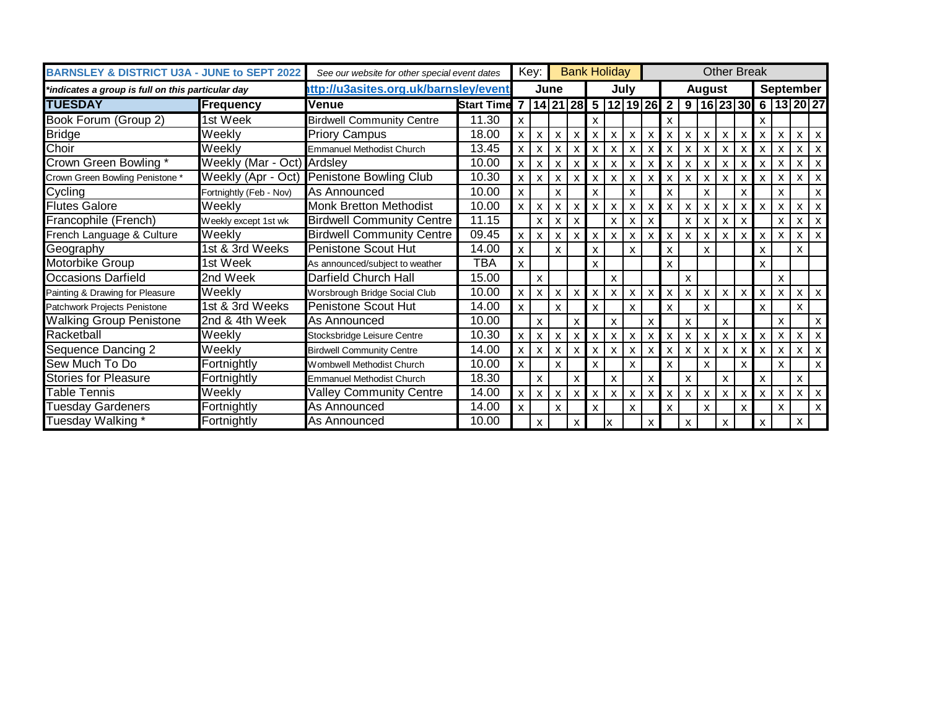| <b>BARNSLEY &amp; DISTRICT U3A - JUNE to SEPT 2022</b> |                            | See our website for other special event dates |                     |                           | Key:         |              | <b>Bank Holiday</b> |                           |                           |      |   |                           |                           |               | <b>Other Break</b> |              |                           |   |                                                                             |                           |
|--------------------------------------------------------|----------------------------|-----------------------------------------------|---------------------|---------------------------|--------------|--------------|---------------------|---------------------------|---------------------------|------|---|---------------------------|---------------------------|---------------|--------------------|--------------|---------------------------|---|-----------------------------------------------------------------------------|---------------------------|
| *indicates a group is full on this particular day      |                            | ttp://u3asites.org.uk/barnsley/event          |                     |                           |              | June         |                     |                           |                           | Julv |   |                           |                           | <b>August</b> |                    |              |                           |   | <b>September</b>                                                            |                           |
| <b>TUESDAY</b>                                         | Frequency                  | Venue                                         | <b>Start Time</b> 7 |                           |              |              |                     |                           |                           |      |   |                           |                           |               |                    |              |                           |   | 14  21  28   5    12   19   26   2    9    16   23   30   6    13   20   27 |                           |
| Book Forum (Group 2)                                   | 1st Week                   | <b>Birdwell Community Centre</b>              | 11.30               | X                         |              |              |                     | X                         |                           |      |   | X                         |                           |               |                    |              | X                         |   |                                                                             |                           |
| <b>Bridge</b>                                          | Weekly                     | <b>Priory Campus</b>                          | 18.00               | $\pmb{\chi}$              | X            | $\mathsf{x}$ | X                   | X                         | X                         | X    | x | х                         | X                         | $\mathsf{x}$  | X                  | X            | X                         | X | X                                                                           | l x                       |
| Choir                                                  | Weekly                     | <b>Emmanuel Methodist Church</b>              | 13.45               | $\mathsf{x}$              | X            | $x \mid$     | X                   | $\mathsf{x}$              | X                         | X    | X | X                         | $\boldsymbol{\mathsf{x}}$ | $\mathsf{x}$  | $\mathsf{x}$       | X            | $\boldsymbol{\mathsf{x}}$ | X |                                                                             |                           |
| Crown Green Bowling *                                  | Weekly (Mar - Oct) Ardsley |                                               | 10.00               | X                         | X            | $\times$     | X                   | X                         |                           |      |   |                           | X                         | $\mathsf{x}$  | X                  | x            | X                         | X | X                                                                           |                           |
| Crown Green Bowling Penistone *                        | Weekly (Apr - Oct)         | Penistone Bowling Club                        | 10.30               | X                         | X            | $\times$     | X                   | $\mathsf{x}$              |                           |      | x |                           | X                         | $\mathsf{x}$  | X                  | X            |                           |   |                                                                             |                           |
| Cycling                                                | Fortnightly (Feb - Nov)    | As Announced                                  | 10.00               | $\pmb{\times}$            |              | $\mathsf{x}$ |                     | $\boldsymbol{\mathsf{x}}$ |                           | X    |   | X                         |                           | X             |                    | X            |                           | X |                                                                             |                           |
| <b>Flutes Galore</b>                                   | Weekly                     | <b>Monk Bretton Methodist</b>                 | 10.00               | $\boldsymbol{\mathsf{x}}$ | X            | $\times$     | X                   | X                         | X                         | x    | x | X                         | X                         | x             | X                  | X            | X                         | X | X                                                                           |                           |
| Francophile (French)                                   | Weekly except 1st wk       | <b>Birdwell Community Centre</b>              | 11.15               |                           | $\mathsf{x}$ | $\mathsf{x}$ | X                   |                           | X                         | x    |   |                           | X                         | x             | X                  | X            |                           | X | X                                                                           |                           |
| French Language & Culture                              | Weekly                     | <b>Birdwell Community Centre</b>              | 09.45               | $\boldsymbol{\mathsf{x}}$ | X            | $\times$     | X                   | X                         | X                         | X    | x |                           | $\boldsymbol{\mathsf{x}}$ | X             | $\mathsf{x}$       | X            | $\boldsymbol{\mathsf{x}}$ | X | X                                                                           |                           |
| Geography                                              | 1st & 3rd Weeks            | Penistone Scout Hut                           | 14.00               | $\boldsymbol{\mathsf{x}}$ |              | X            |                     | X                         |                           | X    |   | X                         |                           | X             |                    |              | X                         |   | X                                                                           |                           |
| Motorbike Group                                        | 1st Week                   | As announced/subject to weather               | TBA                 | $\boldsymbol{\mathsf{x}}$ |              |              |                     | $\boldsymbol{\mathsf{x}}$ |                           |      |   | X                         |                           |               |                    |              | X                         |   |                                                                             |                           |
| <b>Occasions Darfield</b>                              | 2nd Week                   | Darfield Church Hall                          | 15.00               |                           | X            |              |                     |                           | X                         |      |   |                           | X                         |               |                    |              |                           | X |                                                                             |                           |
| Painting & Drawing for Pleasure                        | Weekly                     | Worsbrough Bridge Social Club                 | 10.00               | $\pmb{\chi}$              | X            | x            | X                   | $\boldsymbol{\mathsf{x}}$ | X                         | X    | X | $\boldsymbol{\mathsf{x}}$ | X                         | X.            | X                  | X            | $\boldsymbol{\mathsf{x}}$ | X | X                                                                           | l x                       |
| Patchwork Projects Penistone                           | 1st & 3rd Weeks            | Penistone Scout Hut                           | 14.00               | $\mathsf{x}$              |              | $\mathsf{x}$ |                     | $\boldsymbol{\mathsf{x}}$ |                           | X    |   | X                         |                           | X             |                    |              | $\boldsymbol{\mathsf{x}}$ |   | X                                                                           |                           |
| <b>Walking Group Penistone</b>                         | 2nd & 4th Week             | As Announced                                  | 10.00               |                           | X            |              | X                   |                           | $\boldsymbol{\mathsf{x}}$ |      | X |                           | X                         |               | X                  |              |                           | X |                                                                             | $\boldsymbol{\mathsf{x}}$ |
| Racketball                                             | Weekly                     | Stocksbridge Leisure Centre                   | 10.30               | $\pmb{\chi}$              | X            | x            | X                   | $\boldsymbol{\mathsf{x}}$ | X                         | X    | x | X                         | X                         | $\mathsf{x}$  | $\mathsf{x}$       | X            | $\boldsymbol{\mathsf{x}}$ | X | X                                                                           |                           |
| Sequence Dancing 2                                     | Weekly                     | <b>Birdwell Community Centre</b>              | 14.00               | $\mathsf{x}$              | X            | $x \mid$     | X                   | X                         | X                         | X    | X | X                         | X                         | $\mathsf{x}$  | X                  | $\mathsf{x}$ | $\boldsymbol{\mathsf{x}}$ | X | X                                                                           |                           |
| Sew Much To Do                                         | Fortnightly                | Wombwell Methodist Church                     | 10.00               | $\mathsf{x}$              |              | $\mathsf{x}$ |                     | X                         |                           | X    |   | $\boldsymbol{\mathsf{x}}$ |                           | x             |                    | X            |                           | X |                                                                             | $\boldsymbol{\mathsf{x}}$ |
| <b>Stories for Pleasure</b>                            | Fortnightly                | <b>Emmanuel Methodist Church</b>              | 18.30               |                           | X            |              | X                   |                           | X                         |      | X |                           | X                         |               | X                  |              | X                         |   | X                                                                           |                           |
| Table Tennis                                           | Weekly                     | <b>Valley Community Centre</b>                | 14.00               | $\pmb{\mathsf{x}}$        | X            | $\times$     | X                   | $\mathsf{x}$              | X                         | X    | X | X                         | X                         | $\mathsf{x}$  | x                  | X            | X                         | X | X                                                                           |                           |
| <b>Tuesday Gardeners</b>                               | Fortnightly                | As Announced                                  | 14.00               | $\mathsf{x}$              |              | $\mathsf{x}$ |                     | $\boldsymbol{\mathsf{x}}$ |                           | X    |   | X                         |                           | X             |                    | X            |                           | X |                                                                             | $\boldsymbol{\mathsf{x}}$ |
| Tuesday Walking *                                      | Fortnightly                | As Announced                                  | 10.00               |                           | $\mathsf{x}$ |              | X                   |                           |                           |      | X |                           | X                         |               | x                  |              | X                         |   | X                                                                           |                           |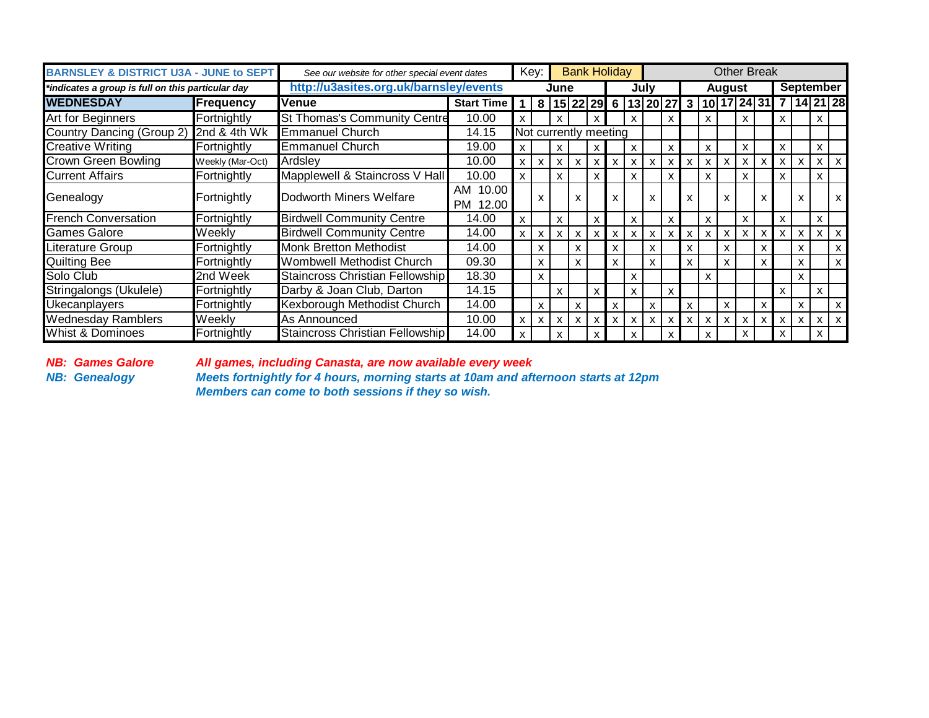| <b>BARNSLEY &amp; DISTRICT U3A - JUNE to SEPT</b> |                    | See our website for other special event dates |                             |                           | Key:         |              | <b>Bank Holiday</b>       |                           |              |              |                           |                           |              |                                                             |        | <b>Other Break</b>        |          |              |                           |                  |              |
|---------------------------------------------------|--------------------|-----------------------------------------------|-----------------------------|---------------------------|--------------|--------------|---------------------------|---------------------------|--------------|--------------|---------------------------|---------------------------|--------------|-------------------------------------------------------------|--------|---------------------------|----------|--------------|---------------------------|------------------|--------------|
| *indicates a group is full on this particular day |                    | http://u3asites.org.uk/barnsley/events        |                             |                           |              | June         |                           |                           |              |              | Julv                      |                           |              |                                                             | August |                           |          |              |                           | <b>September</b> |              |
| <b>IWEDNESDAY</b>                                 | Frequency          | <b>Venue</b>                                  | <b>Start Time</b>           | 1 <sup>1</sup>            |              |              |                           |                           |              |              |                           |                           |              | 8   15   22   29   6   13   20   27   3   10   17   24   31 |        |                           |          |              |                           | 14 21 28         |              |
| Art for Beginners                                 | Fortnightly        | <b>St Thomas's Community Centre</b>           | 10.00                       | X                         |              |              |                           |                           |              | x            |                           | χ                         |              | x                                                           |        | X                         |          | X            |                           | x                |              |
| Country Dancing (Group 2) 2nd & 4th Wk            |                    | <b>Emmanuel Church</b>                        | 14.15                       |                           |              |              | Not currently meeting     |                           |              |              |                           |                           |              |                                                             |        |                           |          |              |                           |                  |              |
| <b>Creative Writing</b>                           | Fortnightly        | <b>Emmanuel Church</b>                        | 19.00                       | X                         |              | x            |                           | x                         |              | x            |                           | X                         |              | x                                                           |        | X                         |          | X            |                           | x                |              |
| <b>Crown Green Bowling</b>                        | Weekly (Mar-Oct)   | Ardslev                                       | 10.00                       | $\mathsf{x}$              | $\mathsf{x}$ | $\times$     | $\boldsymbol{\mathsf{x}}$ | $\boldsymbol{\mathsf{x}}$ | $\mathsf{x}$ | $\mathsf{x}$ | $\boldsymbol{\mathsf{x}}$ | X                         | $\mathsf{x}$ | x                                                           | X      | $\mathsf{x}$              | $\times$ | $\mathsf{x}$ | $\boldsymbol{\mathsf{X}}$ | <b>X</b>         | $\mathsf{x}$ |
| <b>Current Affairs</b>                            | <b>Fortnightly</b> | Mapplewell & Staincross V Hall                | 10.00                       | $\mathbf{x}$              |              | $\mathsf{x}$ |                           | X                         |              | X            |                           | X                         |              | X.                                                          |        | X                         |          | X            |                           | x                |              |
| Genealogy                                         | Fortnightly        | Dodworth Miners Welfare                       | 10.00<br>AM<br>12.00<br>PM. |                           | x            |              | X                         |                           | X            |              | X                         |                           |              |                                                             | x      |                           |          |              | x                         |                  | X            |
| <b>French Conversation</b>                        | Fortnightly        | <b>Birdwell Community Centre</b>              | 14.00                       | $\mathsf{x}$              |              | X            |                           | X                         |              | X            |                           | X                         |              | x                                                           |        | X                         |          | X            |                           | x                |              |
| <b>Games Galore</b>                               | Weekly             | <b>Birdwell Community Centre</b>              | 14.00                       | $\mathsf{X}$              | $\mathsf{x}$ | $\times$ 1   | $\mathsf{x}$              | $\boldsymbol{\mathsf{x}}$ | $\mathsf{x}$ | X            | X                         | х                         | $\mathsf{x}$ | X                                                           | x      | $\boldsymbol{\mathsf{x}}$ | $\times$ | $\mathsf{x}$ | X                         | x                | x            |
| <b>Literature Group</b>                           | Fortnightly        | <b>Monk Bretton Methodist</b>                 | 14.00                       |                           | X            |              | X                         |                           | X            |              | x                         |                           | x            |                                                             | X      |                           |          |              | X                         |                  | X            |
| <b>Quilting Bee</b>                               | Fortnightly        | Wombwell Methodist Church                     | 09.30                       |                           | X            |              | X                         |                           | X            |              | X                         |                           | X            |                                                             | x      |                           |          |              | X                         |                  | x            |
| Solo Club                                         | 2nd Week           | Staincross Christian Fellowship               | 18.30                       |                           | X            |              |                           |                           |              | X            |                           |                           |              | x                                                           |        |                           |          |              | X                         |                  |              |
| Stringalongs (Ukulele)                            | Fortnightly        | Darby & Joan Club, Darton                     | 14.15                       |                           |              | x            |                           | X                         |              | X            |                           | X                         |              |                                                             |        |                           |          | X            |                           | X                |              |
| <b>Ukecanplayers</b>                              | Fortnightly        | Kexborough Methodist Church                   | 14.00                       |                           | X            |              | X                         |                           | $\mathsf{x}$ |              | X                         |                           | x            |                                                             | X      |                           | X        |              | X                         |                  | x            |
| <b>Wednesday Ramblers</b>                         | Weekly             | As Announced                                  | 10.00                       | $\boldsymbol{\mathsf{x}}$ | X            | $\times$ 1   | X                         | X                         | $\mathsf{x}$ | X            | X                         | $\boldsymbol{\mathsf{x}}$ | $\mathsf{x}$ | X                                                           | X      | $\mathsf{x}$              | $\times$ | $\mathsf{x}$ | $\mathsf{x}$              | X.               | $\mathsf{x}$ |
| <b>Whist &amp; Dominoes</b>                       | Fortnightly        | Staincross Christian Fellowship               | 14.00                       | $\boldsymbol{\mathsf{x}}$ |              |              |                           | x                         |              | x            |                           |                           |              | x                                                           |        | x                         |          | x            |                           | X                |              |

*NB: Games Galore All games, including Canasta, are now available every week Meets fortnightly for 4 hours, morning starts at 10am and afternoon starts at 12pm Members can come to both sessions if they so wish.*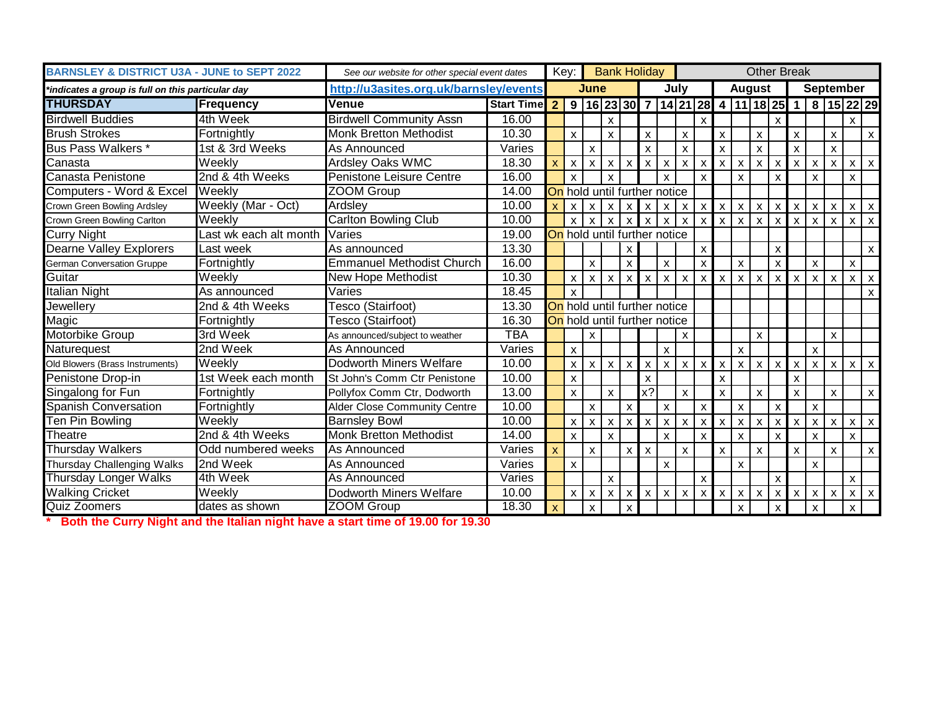| <b>BARNSLEY &amp; DISTRICT U3A - JUNE to SEPT 2022</b> |                               | See our website for other special event dates |                   |                           | Key:                      |                              | <b>Bank Holiday</b>       |                           |                           |                           |                           |                                    |              |                           | <b>Other Break</b>        |                           |                           |                           |                           |                           |                           |
|--------------------------------------------------------|-------------------------------|-----------------------------------------------|-------------------|---------------------------|---------------------------|------------------------------|---------------------------|---------------------------|---------------------------|---------------------------|---------------------------|------------------------------------|--------------|---------------------------|---------------------------|---------------------------|---------------------------|---------------------------|---------------------------|---------------------------|---------------------------|
| *indicates a group is full on this particular day      |                               | http://u3asites.org.uk/barnsley/events        |                   |                           |                           | June                         |                           |                           |                           |                           | July                      |                                    |              |                           | <b>August</b>             |                           |                           | <b>September</b>          |                           |                           |                           |
| <b>THURSDAY</b>                                        | <b>Frequency</b>              | <b>Venue</b>                                  | <b>Start Time</b> | $\overline{2}$            |                           |                              |                           |                           |                           |                           |                           | 9 16 23 30 7 14 21 28 4 11 18 25 1 |              |                           |                           |                           |                           |                           | 8 15 22 29                |                           |                           |
| <b>Birdwell Buddies</b>                                | 4th Week                      | <b>Birdwell Community Assn</b>                | 16.00             |                           |                           |                              | $\boldsymbol{\mathsf{x}}$ |                           |                           |                           |                           | $\mathsf{x}$                       |              |                           |                           | $\boldsymbol{\mathsf{x}}$ |                           |                           |                           | $\mathsf{x}$              |                           |
| <b>Brush Strokes</b>                                   | Fortnightly                   | <b>Monk Bretton Methodist</b>                 | 10.30             |                           | X                         |                              | $\pmb{\mathsf{X}}$        |                           | $\mathsf{x}$              |                           | X                         |                                    | X            |                           | $\boldsymbol{\mathsf{x}}$ |                           | $\mathsf{x}$              |                           | X                         |                           | X                         |
| <b>Bus Pass Walkers *</b>                              | 1st & 3rd Weeks               | As Announced                                  | Varies            |                           |                           | X                            |                           |                           | X                         |                           | X                         |                                    | $\mathsf{x}$ |                           | $\mathsf{x}$              |                           | $\boldsymbol{\mathsf{x}}$ |                           | $\mathsf{x}$              |                           |                           |
| Canasta                                                | $\overline{\mathsf{W}}$ eekly | Ardsley Oaks WMC                              | 18.30             | $\mathbf{x}$              | $\boldsymbol{\mathsf{x}}$ | $\mathsf{x}$                 | $\pmb{\mathsf{X}}$        | X                         | $\mathsf{x}$              | X                         | $\boldsymbol{\mathsf{x}}$ | X                                  | $\mathsf{x}$ | $\boldsymbol{\mathsf{x}}$ | $x \mid$                  | X                         | $\mathsf{x}$              | X                         | $\boldsymbol{\mathsf{x}}$ | $\pmb{\mathsf{X}}$        | $\mathsf X$               |
| Canasta Penistone                                      | 2nd & 4th Weeks               | Penistone Leisure Centre                      | 16.00             |                           | $\mathbf{x}$              |                              | $\boldsymbol{\mathsf{x}}$ |                           |                           | $\boldsymbol{\mathsf{x}}$ |                           | $\boldsymbol{\mathsf{x}}$          |              | $\boldsymbol{\mathsf{x}}$ |                           |                           |                           | $\mathsf{x}$              |                           | $\boldsymbol{\mathsf{x}}$ |                           |
| Computers - Word & Excel                               | Weekly                        | ZOOM Group                                    | 14.00             |                           |                           | On hold until further notice |                           |                           |                           |                           |                           |                                    |              |                           |                           |                           |                           |                           |                           |                           |                           |
| Crown Green Bowling Ardsley                            | Weekly (Mar - Oct)            | Ardsley                                       | 10.00             | $\boldsymbol{\mathsf{x}}$ | $\boldsymbol{\mathsf{x}}$ | $\times$                     | $\mathsf{x}$              | $\boldsymbol{\mathsf{x}}$ | X                         | X                         | $\boldsymbol{\mathsf{x}}$ | X                                  | $\mathsf{x}$ | $\mathsf{x}$              | $\boldsymbol{\mathsf{x}}$ | $\boldsymbol{\mathsf{x}}$ | $\mathsf{x}$              | $\mathsf{x}$              | $\boldsymbol{\mathsf{x}}$ | $\mathsf{x}$              | $\boldsymbol{\mathsf{x}}$ |
| Crown Green Bowling Carlton                            | Weekly                        | <b>Carlton Bowling Club</b>                   | 10.00             |                           | $\mathsf{x}$              | $\times$                     | $\mathsf{x}$              | $\mathsf{x}$              | $\mathsf{x}$              | X                         | $\boldsymbol{\mathsf{x}}$ | X                                  | $\mathsf{x}$ | X                         | $\mathsf{x}$              | X                         | $\mathsf{x}$              | $\boldsymbol{\mathsf{x}}$ | $\mathsf{x}$              | $\mathsf{x}$              | $\mathsf{x}$              |
| <b>Curry Night</b>                                     | ast wk each alt month         | Varies                                        | 19.00             |                           |                           | On hold until further notice |                           |                           |                           |                           |                           |                                    |              |                           |                           |                           |                           |                           |                           |                           |                           |
| Dearne Valley Explorers                                | Last week                     | As announced                                  | 13.30             |                           |                           |                              |                           | X                         |                           |                           |                           | $\boldsymbol{\mathsf{x}}$          |              |                           |                           | $\boldsymbol{\mathsf{x}}$ |                           |                           |                           |                           | $\mathsf{X}$              |
| <b>German Conversation Gruppe</b>                      | Fortnightly                   | <b>Emmanuel Methodist Church</b>              | 16.00             |                           |                           | X                            |                           | $\boldsymbol{\mathsf{x}}$ |                           | X                         |                           | X                                  |              | X                         |                           | X                         |                           | X                         |                           | $\boldsymbol{\mathsf{x}}$ |                           |
| Guitar                                                 | Weekly                        | New Hope Methodist                            | 10.30             |                           | $\mathsf{x}$              | $\mathsf{x}$                 | $\boldsymbol{\mathsf{x}}$ | $\mathsf{x}$              | $\boldsymbol{\mathsf{X}}$ | $\mathsf{x}$              | $\boldsymbol{\mathsf{X}}$ | $\mathsf{x}$                       | $\mathsf{x}$ | $\mathsf{x}$              | $\boldsymbol{\mathsf{x}}$ | $\mathsf{x}$              | $\mathsf{x}$              | $\mathsf{x}$              | l x                       | $\mathsf{x}$              | $\mathsf{x}$              |
| Italian Night                                          | As announced                  | Varies                                        | 18.45             |                           | $\mathsf{x}$              |                              |                           |                           |                           |                           |                           |                                    |              |                           |                           |                           |                           |                           |                           |                           | $\mathsf{X}$              |
| Jewellery                                              | 2nd & 4th Weeks               | <b>Tesco (Stairfoot)</b>                      | 13.30             |                           |                           | On hold until further notice |                           |                           |                           |                           |                           |                                    |              |                           |                           |                           |                           |                           |                           |                           |                           |
| Magic                                                  | Fortnightly                   | Tesco (Stairfoot)                             | 16.30             |                           |                           | On hold until further notice |                           |                           |                           |                           |                           |                                    |              |                           |                           |                           |                           |                           |                           |                           |                           |
| Motorbike Group                                        | 3rd Week                      | As announced/subject to weather               | <b>TBA</b>        |                           |                           | X                            |                           |                           |                           |                           | X                         |                                    |              |                           | X                         |                           |                           |                           | X                         |                           |                           |
| Naturequest                                            | 2nd Week                      | As Announced                                  | Varies            |                           | $\mathsf{x}$              |                              |                           |                           |                           | X                         |                           |                                    |              | $\mathsf{x}$              |                           |                           |                           | $\mathsf{x}$              |                           |                           |                           |
| Old Blowers (Brass Instruments)                        | Weekly                        | Dodworth Miners Welfare                       | 10.00             |                           | $\pmb{\times}$            | x                            | $\pmb{\chi}$              | $\boldsymbol{\mathsf{x}}$ | $\boldsymbol{\mathsf{x}}$ | X                         | $\boldsymbol{\mathsf{x}}$ | $\boldsymbol{\mathsf{x}}$          | $\mathsf{x}$ | $\boldsymbol{\mathsf{x}}$ | $\mathsf{x}$              | $\boldsymbol{\mathsf{x}}$ | $\pmb{\chi}$              | $\boldsymbol{\mathsf{x}}$ | $\mathbf{x}$              | $\mathsf{x}$              | $\mathsf{x}$              |
| Penistone Drop-in                                      | 1st Week each month           | St John's Comm Ctr Penistone                  | 10.00             |                           | X                         |                              |                           |                           | X                         |                           |                           |                                    | X            |                           |                           |                           | X                         |                           |                           |                           |                           |
| Singalong for Fun                                      | Fortnightly                   | Pollyfox Comm Ctr, Dodworth                   | 13.00             |                           | $\mathsf{x}$              |                              | $\boldsymbol{\mathsf{x}}$ |                           | x?                        |                           | $\boldsymbol{\mathsf{x}}$ |                                    | X            |                           | $\boldsymbol{\mathsf{x}}$ |                           | $\mathsf{x}$              |                           | $\boldsymbol{\mathsf{x}}$ |                           | $\mathsf{X}$              |
| <b>Spanish Conversation</b>                            | Fortnightly                   | Alder Close Community Centre                  | 10.00             |                           |                           | X.                           |                           | $\boldsymbol{\mathsf{x}}$ |                           | X                         |                           | X                                  |              | $\boldsymbol{\mathsf{x}}$ |                           | X                         |                           | X                         |                           |                           |                           |
| Ten Pin Bowling                                        | Weeklv                        | <b>Barnsley Bowl</b>                          | 10.00             |                           | $\mathsf{x}$              | $\mathsf{x}$                 | $\boldsymbol{\mathsf{x}}$ | $\boldsymbol{\mathsf{x}}$ | X                         | $\mathsf{x}$              | $\boldsymbol{\mathsf{x}}$ | $\mathsf{x}$                       | X            | $\boldsymbol{\mathsf{x}}$ | $\boldsymbol{\mathsf{x}}$ | <b>X</b>                  | $\boldsymbol{\mathsf{x}}$ | $\mathsf{x}$              | $\boldsymbol{\mathsf{x}}$ | $\mathsf{x}$              | $\mathsf{x}$              |
| Theatre                                                | 2nd & 4th Weeks               | <b>Monk Bretton Methodist</b>                 | 14.00             |                           | X                         |                              | $\mathsf{x}$              |                           |                           | $\mathsf{x}$              |                           | X                                  |              | X                         |                           | X                         |                           | $\mathsf{x}$              |                           | $\mathsf{x}$              |                           |
| <b>Thursday Walkers</b>                                | Odd numbered weeks            | As Announced                                  | Varies            | X                         |                           | X                            |                           | $\boldsymbol{\mathsf{x}}$ | $\boldsymbol{\mathsf{x}}$ |                           | $\boldsymbol{\mathsf{x}}$ |                                    | X            |                           | $\mathsf{x}$              |                           | $\boldsymbol{\mathsf{x}}$ |                           | $\boldsymbol{\mathsf{x}}$ |                           | X                         |
| Thursday Challenging Walks                             | 2nd Week                      | As Announced                                  | Varies            |                           | $\mathsf{x}$              |                              |                           |                           |                           | $\mathsf{x}$              |                           |                                    |              | $\overline{\mathsf{x}}$   |                           |                           |                           | $\mathsf{x}$              |                           |                           |                           |
| <b>Thursday Longer Walks</b>                           | 4th Week                      | As Announced                                  | Varies            |                           |                           |                              | $\boldsymbol{\mathsf{x}}$ |                           |                           |                           |                           | $\boldsymbol{\mathsf{x}}$          |              |                           |                           | X                         |                           |                           |                           | $\mathsf{x}$              |                           |
| <b>Walking Cricket</b>                                 | Weekly                        | Dodworth Miners Welfare                       | 10.00             |                           | X                         | $\mathsf{x}$                 | $\mathsf{x}$              | X                         | $\times$                  | $\mathsf{x}$              | X                         | $\mathsf{x}$                       | $\mathsf{x}$ | X                         | X                         | X                         | $\boldsymbol{\mathsf{x}}$ | X                         | $\boldsymbol{\mathsf{x}}$ | $\mathsf{x}$              | $\mathsf{x}$              |
| Quiz Zoomers                                           | dates as shown                | <b>ZOOM Group</b>                             | 18.30             | $\mathsf{x}$              |                           | X                            |                           | $\mathsf{x}$              |                           |                           |                           |                                    |              | $\mathsf{x}$              |                           | X.                        |                           | $\mathsf{x}$              |                           | $\boldsymbol{\mathsf{x}}$ |                           |

**\* Both the Curry Night and the Italian night have a start time of 19.00 for 19.30**